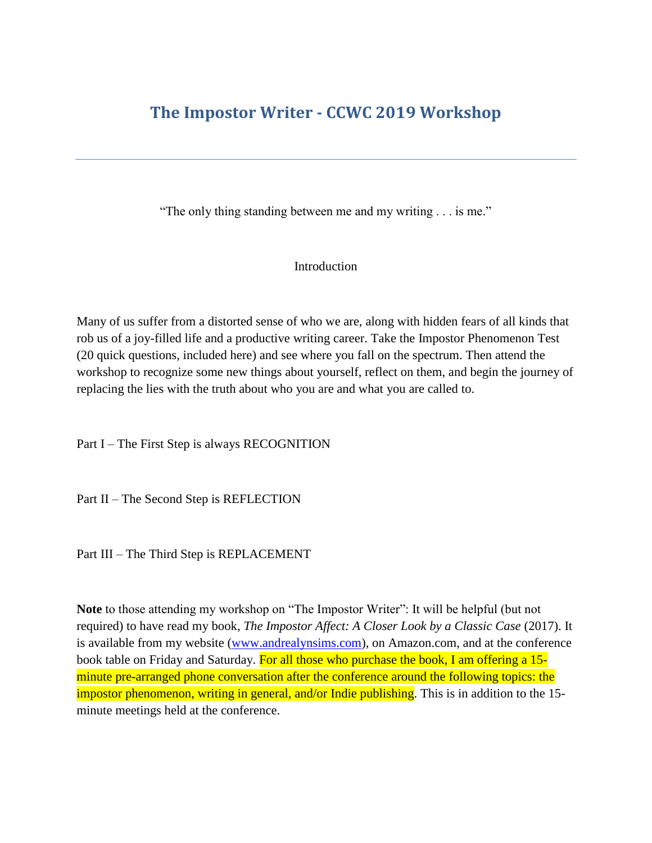## **The Impostor Writer - CCWC 2019 Workshop**

"The only thing standing between me and my writing . . . is me."

## Introduction

Many of us suffer from a distorted sense of who we are, along with hidden fears of all kinds that rob us of a joy-filled life and a productive writing career. Take the Impostor Phenomenon Test (20 quick questions, included here) and see where you fall on the spectrum. Then attend the workshop to recognize some new things about yourself, reflect on them, and begin the journey of replacing the lies with the truth about who you are and what you are called to.

Part I – The First Step is always RECOGNITION

Part II – The Second Step is REFLECTION

Part III – The Third Step is REPLACEMENT

**Note** to those attending my workshop on "The Impostor Writer": It will be helpful (but not required) to have read my book, *The Impostor Affect: A Closer Look by a Classic Case* (2017). It is available from my website [\(www.andrealynsims.com\)](http://www.andrealynsims.com/), on Amazon.com, and at the conference book table on Friday and Saturday. For all those who purchase the book, I am offering a 15minute pre-arranged phone conversation after the conference around the following topics: the impostor phenomenon, writing in general, and/or Indie publishing. This is in addition to the 15 minute meetings held at the conference.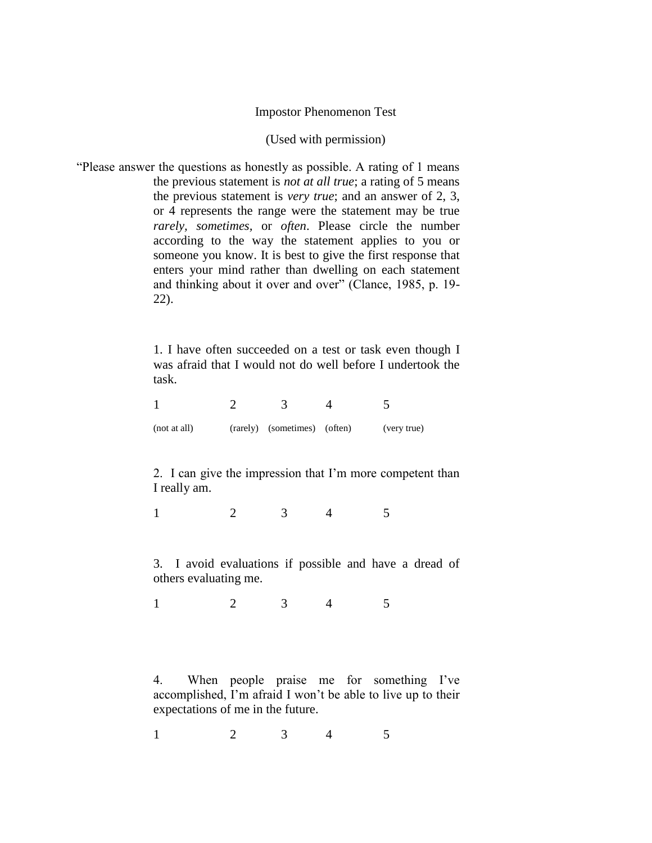## Impostor Phenomenon Test

## (Used with permission)

"Please answer the questions as honestly as possible. A rating of 1 means the previous statement is *not at all true*; a rating of 5 means the previous statement is *very true*; and an answer of 2, 3, or 4 represents the range were the statement may be true *rarely, sometimes,* or *often*. Please circle the number according to the way the statement applies to you or someone you know. It is best to give the first response that enters your mind rather than dwelling on each statement and thinking about it over and over" (Clance, 1985, p. 19- 22).

> 1. I have often succeeded on a test or task even though I was afraid that I would not do well before I undertook the task.

| (not at all) | (rarely) (sometimes) (often) | (very true) |
|--------------|------------------------------|-------------|

2. I can give the impression that I'm more competent than I really am.

1 2 3 4 5

3. I avoid evaluations if possible and have a dread of others evaluating me.

1 2 3 4 5

4. When people praise me for something I've accomplished, I'm afraid I won't be able to live up to their expectations of me in the future.

1 2 3 4 5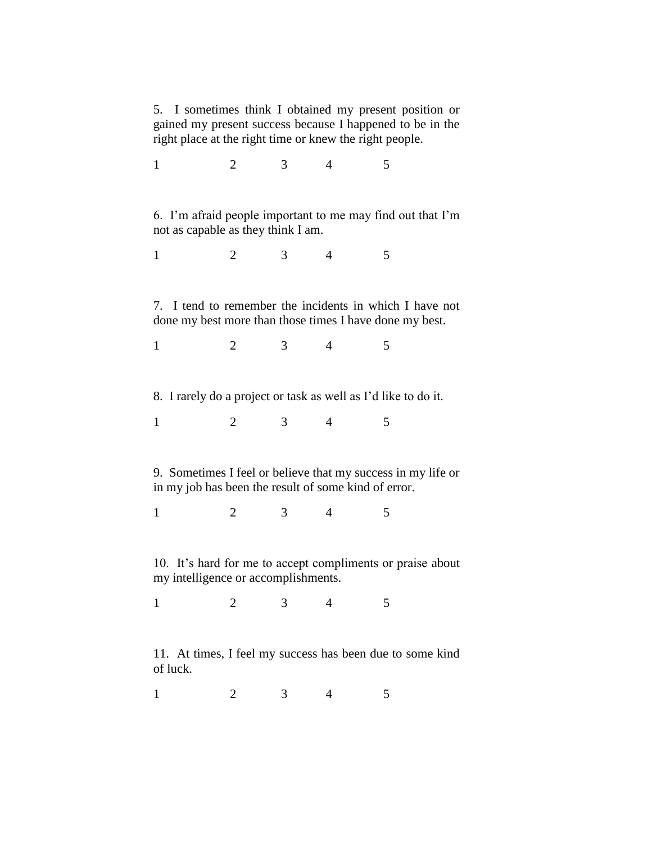5. I sometimes think I obtained my present position or gained my present success because I happened to be in the right place at the right time or knew the right people.

1 2 3 4 5 6. I'm afraid people important to me may find out that I'm not as capable as they think I am. 1 2 3 4 5 7. I tend to remember the incidents in which I have not done my best more than those times I have done my best. 1 2 3 4 5 8. I rarely do a project or task as well as I'd like to do it. 1 2 3 4 5 9. Sometimes I feel or believe that my success in my life or in my job has been the result of some kind of error. 1 2 3 4 5 10. It's hard for me to accept compliments or praise about my intelligence or accomplishments. 1 2 3 4 5 11. At times, I feel my success has been due to some kind of luck.

1 2 3 4 5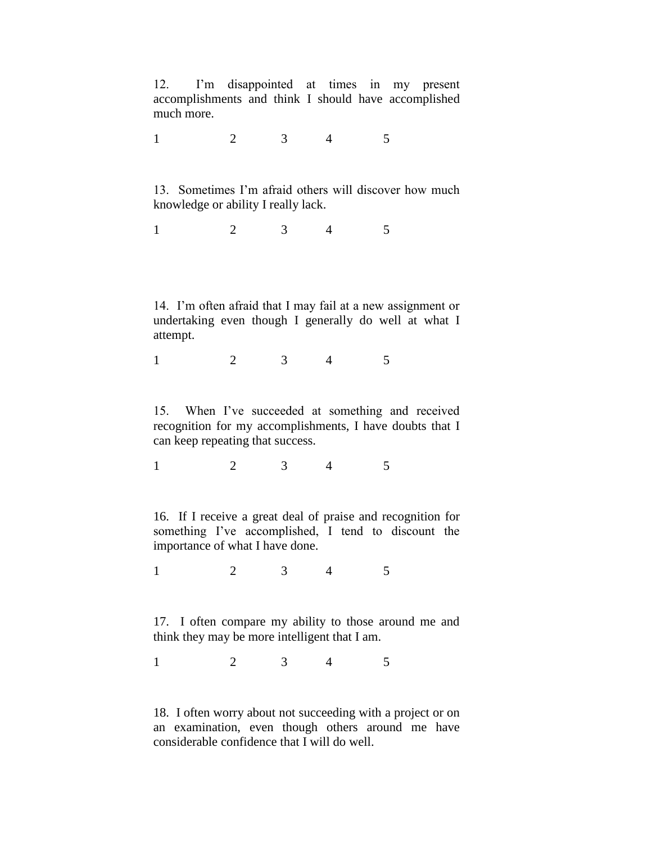12. I'm disappointed at times in my present accomplishments and think I should have accomplished much more.

1 2 3 4 5

13. Sometimes I'm afraid others will discover how much knowledge or ability I really lack.

1 2 3 4 5

14. I'm often afraid that I may fail at a new assignment or undertaking even though I generally do well at what I attempt.

1 2 3 4 5

15. When I've succeeded at something and received recognition for my accomplishments, I have doubts that I can keep repeating that success.

1 2 3 4 5

16. If I receive a great deal of praise and recognition for something I've accomplished, I tend to discount the importance of what I have done.

1 2 3 4 5

17. I often compare my ability to those around me and think they may be more intelligent that I am.

1 2 3 4 5

18. I often worry about not succeeding with a project or on an examination, even though others around me have considerable confidence that I will do well.